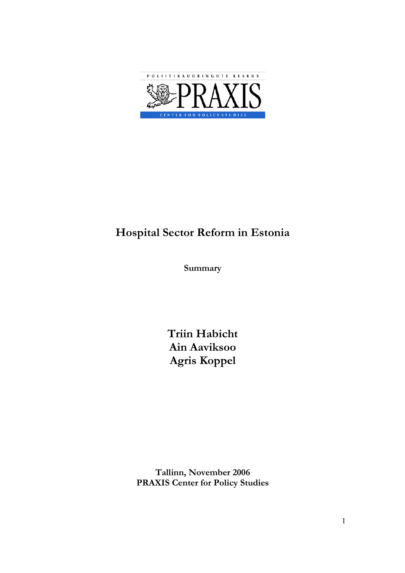

# Hospital Sector Reform in Estonia

Summary

Triin Habicht Ain Aaviksoo Agris Koppel

Tallinn, November 2006 PRAXIS Center for Policy Studies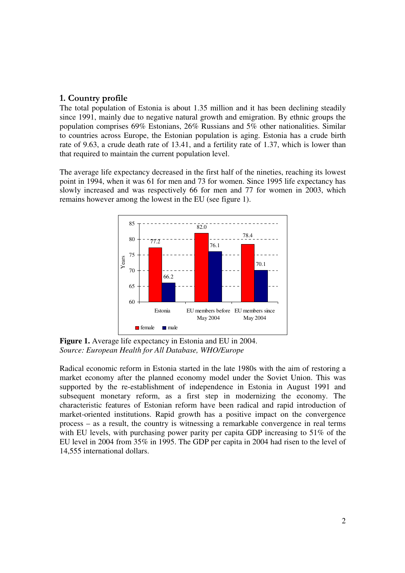# 1. Country profile

The total population of Estonia is about 1.35 million and it has been declining steadily since 1991, mainly due to negative natural growth and emigration. By ethnic groups the population comprises 69% Estonians, 26% Russians and 5% other nationalities. Similar to countries across Europe, the Estonian population is aging. Estonia has a crude birth rate of 9.63, a crude death rate of 13.41, and a fertility rate of 1.37, which is lower than that required to maintain the current population level.

The average life expectancy decreased in the first half of the nineties, reaching its lowest point in 1994, when it was 61 for men and 73 for women. Since 1995 life expectancy has slowly increased and was respectively 66 for men and 77 for women in 2003, which remains however among the lowest in the EU (see figure 1).



**Figure 1.** Average life expectancy in Estonia and EU in 2004. *Source: European Health for All Database, WHO/Europe* 

Radical economic reform in Estonia started in the late 1980s with the aim of restoring a market economy after the planned economy model under the Soviet Union. This was supported by the re-establishment of independence in Estonia in August 1991 and subsequent monetary reform, as a first step in modernizing the economy. The characteristic features of Estonian reform have been radical and rapid introduction of market-oriented institutions. Rapid growth has a positive impact on the convergence process – as a result, the country is witnessing a remarkable convergence in real terms with EU levels, with purchasing power parity per capita GDP increasing to 51% of the EU level in 2004 from 35% in 1995. The GDP per capita in 2004 had risen to the level of 14,555 international dollars.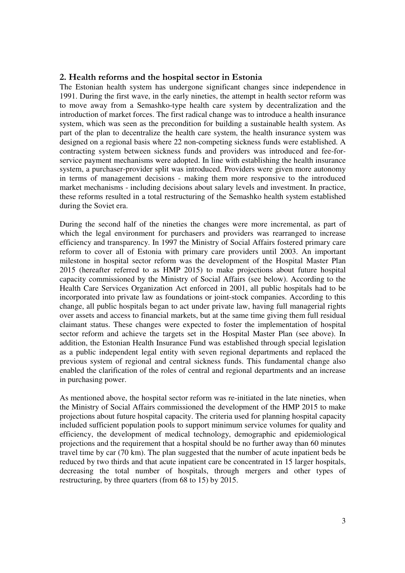## 2. Health reforms and the hospital sector in Estonia

The Estonian health system has undergone significant changes since independence in 1991. During the first wave, in the early nineties, the attempt in health sector reform was to move away from a Semashko-type health care system by decentralization and the introduction of market forces. The first radical change was to introduce a health insurance system, which was seen as the precondition for building a sustainable health system. As part of the plan to decentralize the health care system, the health insurance system was designed on a regional basis where 22 non-competing sickness funds were established. A contracting system between sickness funds and providers was introduced and fee-forservice payment mechanisms were adopted. In line with establishing the health insurance system, a purchaser-provider split was introduced. Providers were given more autonomy in terms of management decisions - making them more responsive to the introduced market mechanisms - including decisions about salary levels and investment. In practice, these reforms resulted in a total restructuring of the Semashko health system established during the Soviet era.

During the second half of the nineties the changes were more incremental, as part of which the legal environment for purchasers and providers was rearranged to increase efficiency and transparency. In 1997 the Ministry of Social Affairs fostered primary care reform to cover all of Estonia with primary care providers until 2003. An important milestone in hospital sector reform was the development of the Hospital Master Plan 2015 (hereafter referred to as HMP 2015) to make projections about future hospital capacity commissioned by the Ministry of Social Affairs (see below). According to the Health Care Services Organization Act enforced in 2001, all public hospitals had to be incorporated into private law as foundations or joint-stock companies. According to this change, all public hospitals began to act under private law, having full managerial rights over assets and access to financial markets, but at the same time giving them full residual claimant status. These changes were expected to foster the implementation of hospital sector reform and achieve the targets set in the Hospital Master Plan (see above). In addition, the Estonian Health Insurance Fund was established through special legislation as a public independent legal entity with seven regional departments and replaced the previous system of regional and central sickness funds. This fundamental change also enabled the clarification of the roles of central and regional departments and an increase in purchasing power.

As mentioned above, the hospital sector reform was re-initiated in the late nineties, when the Ministry of Social Affairs commissioned the development of the HMP 2015 to make projections about future hospital capacity. The criteria used for planning hospital capacity included sufficient population pools to support minimum service volumes for quality and efficiency, the development of medical technology, demographic and epidemiological projections and the requirement that a hospital should be no further away than 60 minutes travel time by car (70 km). The plan suggested that the number of acute inpatient beds be reduced by two thirds and that acute inpatient care be concentrated in 15 larger hospitals, decreasing the total number of hospitals, through mergers and other types of restructuring, by three quarters (from 68 to 15) by 2015.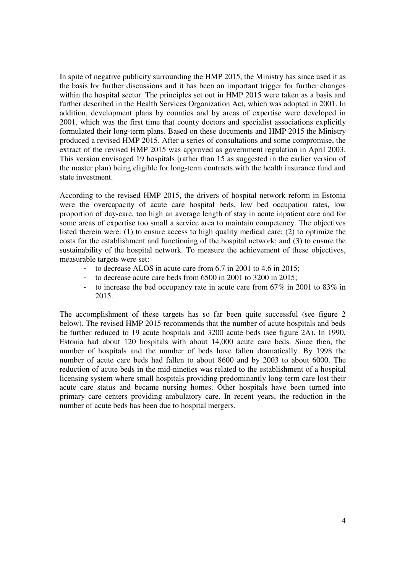In spite of negative publicity surrounding the HMP 2015, the Ministry has since used it as the basis for further discussions and it has been an important trigger for further changes within the hospital sector. The principles set out in HMP 2015 were taken as a basis and further described in the Health Services Organization Act, which was adopted in 2001. In addition, development plans by counties and by areas of expertise were developed in 2001, which was the first time that county doctors and specialist associations explicitly formulated their long-term plans. Based on these documents and HMP 2015 the Ministry produced a revised HMP 2015. After a series of consultations and some compromise, the extract of the revised HMP 2015 was approved as government regulation in April 2003. This version envisaged 19 hospitals (rather than 15 as suggested in the earlier version of the master plan) being eligible for long-term contracts with the health insurance fund and state investment.

According to the revised HMP 2015, the drivers of hospital network reform in Estonia were the overcapacity of acute care hospital beds, low bed occupation rates, low proportion of day-care, too high an average length of stay in acute inpatient care and for some areas of expertise too small a service area to maintain competency. The objectives listed therein were: (1) to ensure access to high quality medical care; (2) to optimize the costs for the establishment and functioning of the hospital network; and (3) to ensure the sustainability of the hospital network. To measure the achievement of these objectives, measurable targets were set:

- to decrease ALOS in acute care from 6.7 in 2001 to 4.6 in 2015;
- to decrease acute care beds from 6500 in 2001 to 3200 in 2015;
- to increase the bed occupancy rate in acute care from 67% in 2001 to 83% in 2015.

The accomplishment of these targets has so far been quite successful (see figure 2 below). The revised HMP 2015 recommends that the number of acute hospitals and beds be further reduced to 19 acute hospitals and 3200 acute beds (see figure 2A). In 1990, Estonia had about 120 hospitals with about 14,000 acute care beds. Since then, the number of hospitals and the number of beds have fallen dramatically. By 1998 the number of acute care beds had fallen to about 8600 and by 2003 to about 6000. The reduction of acute beds in the mid-nineties was related to the establishment of a hospital licensing system where small hospitals providing predominantly long-term care lost their acute care status and became nursing homes. Other hospitals have been turned into primary care centers providing ambulatory care. In recent years, the reduction in the number of acute beds has been due to hospital mergers.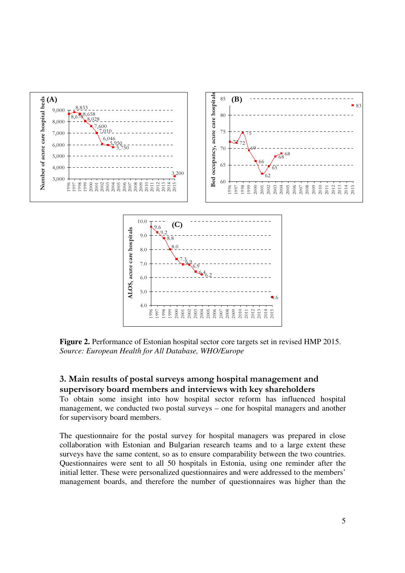

**Figure 2.** Performance of Estonian hospital sector core targets set in revised HMP 2015. *Source: European Health for All Database, WHO/Europe* 

# 3. Main results of postal surveys among hospital management and supervisory board members and interviews with key shareholders

To obtain some insight into how hospital sector reform has influenced hospital management, we conducted two postal surveys – one for hospital managers and another for supervisory board members.

The questionnaire for the postal survey for hospital managers was prepared in close collaboration with Estonian and Bulgarian research teams and to a large extent these surveys have the same content, so as to ensure comparability between the two countries. Questionnaires were sent to all 50 hospitals in Estonia, using one reminder after the initial letter. These were personalized questionnaires and were addressed to the members' management boards, and therefore the number of questionnaires was higher than the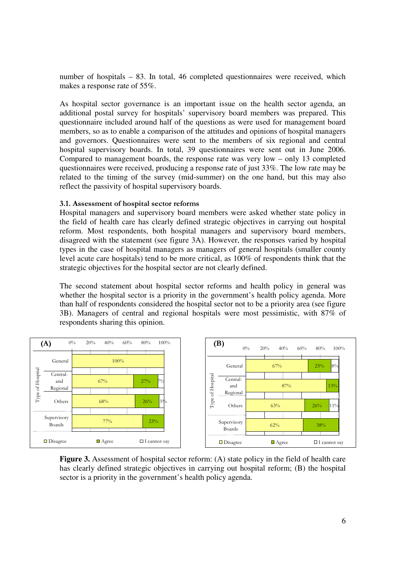number of hospitals – 83. In total, 46 completed questionnaires were received, which makes a response rate of 55%.

As hospital sector governance is an important issue on the health sector agenda, an additional postal survey for hospitals' supervisory board members was prepared. This questionnaire included around half of the questions as were used for management board members, so as to enable a comparison of the attitudes and opinions of hospital managers and governors. Questionnaires were sent to the members of six regional and central hospital supervisory boards. In total, 39 questionnaires were sent out in June 2006. Compared to management boards, the response rate was very low – only 13 completed questionnaires were received, producing a response rate of just 33%. The low rate may be related to the timing of the survey (mid-summer) on the one hand, but this may also reflect the passivity of hospital supervisory boards.

#### 3.1. Assessment of hospital sector reforms

Hospital managers and supervisory board members were asked whether state policy in the field of health care has clearly defined strategic objectives in carrying out hospital reform. Most respondents, both hospital managers and supervisory board members, disagreed with the statement (see figure 3A). However, the responses varied by hospital types in the case of hospital managers as managers of general hospitals (smaller county level acute care hospitals) tend to be more critical, as 100% of respondents think that the strategic objectives for the hospital sector are not clearly defined.

The second statement about hospital sector reforms and health policy in general was whether the hospital sector is a priority in the government's health policy agenda. More than half of respondents considered the hospital sector not to be a priority area (see figure 3B). Managers of central and regional hospitals were most pessimistic, with 87% of respondents sharing this opinion.



**Figure 3.** Assessment of hospital sector reform: (A) state policy in the field of health care has clearly defined strategic objectives in carrying out hospital reform; (B) the hospital sector is a priority in the government's health policy agenda.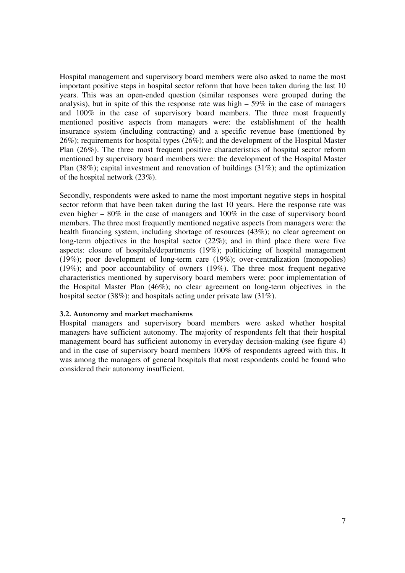Hospital management and supervisory board members were also asked to name the most important positive steps in hospital sector reform that have been taken during the last 10 years. This was an open-ended question (similar responses were grouped during the analysis), but in spite of this the response rate was high  $-59\%$  in the case of managers and 100% in the case of supervisory board members. The three most frequently mentioned positive aspects from managers were: the establishment of the health insurance system (including contracting) and a specific revenue base (mentioned by 26%); requirements for hospital types (26%); and the development of the Hospital Master Plan (26%). The three most frequent positive characteristics of hospital sector reform mentioned by supervisory board members were: the development of the Hospital Master Plan (38%); capital investment and renovation of buildings (31%); and the optimization of the hospital network (23%).

Secondly, respondents were asked to name the most important negative steps in hospital sector reform that have been taken during the last 10 years. Here the response rate was even higher – 80% in the case of managers and 100% in the case of supervisory board members. The three most frequently mentioned negative aspects from managers were: the health financing system, including shortage of resources (43%); no clear agreement on long-term objectives in the hospital sector (22%); and in third place there were five aspects: closure of hospitals/departments (19%); politicizing of hospital management (19%); poor development of long-term care (19%); over-centralization (monopolies) (19%); and poor accountability of owners (19%). The three most frequent negative characteristics mentioned by supervisory board members were: poor implementation of the Hospital Master Plan (46%); no clear agreement on long-term objectives in the hospital sector (38%); and hospitals acting under private law (31%).

#### 3.2. Autonomy and market mechanisms

Hospital managers and supervisory board members were asked whether hospital managers have sufficient autonomy. The majority of respondents felt that their hospital management board has sufficient autonomy in everyday decision-making (see figure 4) and in the case of supervisory board members 100% of respondents agreed with this. It was among the managers of general hospitals that most respondents could be found who considered their autonomy insufficient.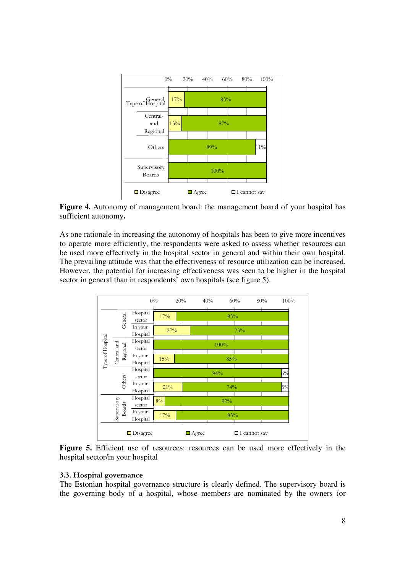

**Figure 4.** Autonomy of management board: the management board of your hospital has sufficient autonomy**.** 

As one rationale in increasing the autonomy of hospitals has been to give more incentives to operate more efficiently, the respondents were asked to assess whether resources can be used more effectively in the hospital sector in general and within their own hospital. The prevailing attitude was that the effectiveness of resource utilization can be increased. However, the potential for increasing effectiveness was seen to be higher in the hospital sector in general than in respondents' own hospitals (see figure 5).



Figure 5. Efficient use of resources: resources can be used more effectively in the hospital sector/in your hospital

#### 3.3. Hospital governance

The Estonian hospital governance structure is clearly defined. The supervisory board is the governing body of a hospital, whose members are nominated by the owners (or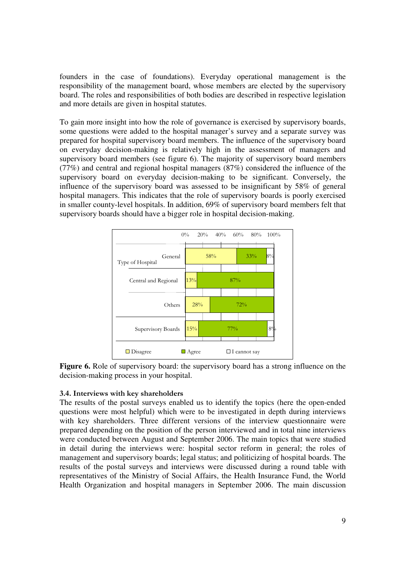founders in the case of foundations). Everyday operational management is the responsibility of the management board, whose members are elected by the supervisory board. The roles and responsibilities of both bodies are described in respective legislation and more details are given in hospital statutes.

To gain more insight into how the role of governance is exercised by supervisory boards, some questions were added to the hospital manager's survey and a separate survey was prepared for hospital supervisory board members. The influence of the supervisory board on everyday decision-making is relatively high in the assessment of managers and supervisory board members (see figure 6). The majority of supervisory board members (77%) and central and regional hospital managers (87%) considered the influence of the supervisory board on everyday decision-making to be significant. Conversely, the influence of the supervisory board was assessed to be insignificant by 58% of general hospital managers. This indicates that the role of supervisory boards is poorly exercised in smaller county-level hospitals. In addition, 69% of supervisory board members felt that supervisory boards should have a bigger role in hospital decision-making.



**Figure 6.** Role of supervisory board: the supervisory board has a strong influence on the decision-making process in your hospital.

## 3.4. Interviews with key shareholders

The results of the postal surveys enabled us to identify the topics (here the open-ended questions were most helpful) which were to be investigated in depth during interviews with key shareholders. Three different versions of the interview questionnaire were prepared depending on the position of the person interviewed and in total nine interviews were conducted between August and September 2006. The main topics that were studied in detail during the interviews were: hospital sector reform in general; the roles of management and supervisory boards; legal status; and politicizing of hospital boards. The results of the postal surveys and interviews were discussed during a round table with representatives of the Ministry of Social Affairs, the Health Insurance Fund, the World Health Organization and hospital managers in September 2006. The main discussion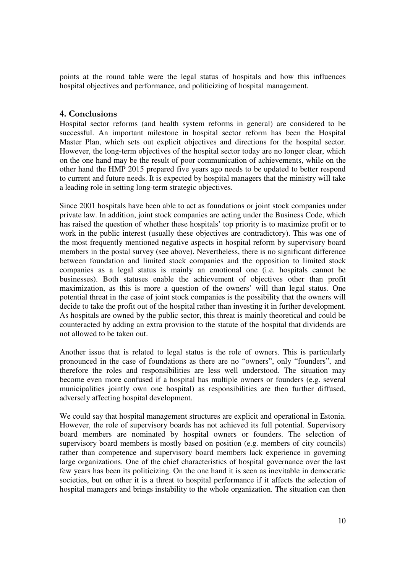points at the round table were the legal status of hospitals and how this influences hospital objectives and performance, and politicizing of hospital management.

# 4. Conclusions

Hospital sector reforms (and health system reforms in general) are considered to be successful. An important milestone in hospital sector reform has been the Hospital Master Plan, which sets out explicit objectives and directions for the hospital sector. However, the long-term objectives of the hospital sector today are no longer clear, which on the one hand may be the result of poor communication of achievements, while on the other hand the HMP 2015 prepared five years ago needs to be updated to better respond to current and future needs. It is expected by hospital managers that the ministry will take a leading role in setting long-term strategic objectives.

Since 2001 hospitals have been able to act as foundations or joint stock companies under private law. In addition, joint stock companies are acting under the Business Code, which has raised the question of whether these hospitals' top priority is to maximize profit or to work in the public interest (usually these objectives are contradictory). This was one of the most frequently mentioned negative aspects in hospital reform by supervisory board members in the postal survey (see above). Nevertheless, there is no significant difference between foundation and limited stock companies and the opposition to limited stock companies as a legal status is mainly an emotional one (i.e. hospitals cannot be businesses). Both statuses enable the achievement of objectives other than profit maximization, as this is more a question of the owners' will than legal status. One potential threat in the case of joint stock companies is the possibility that the owners will decide to take the profit out of the hospital rather than investing it in further development. As hospitals are owned by the public sector, this threat is mainly theoretical and could be counteracted by adding an extra provision to the statute of the hospital that dividends are not allowed to be taken out.

Another issue that is related to legal status is the role of owners. This is particularly pronounced in the case of foundations as there are no "owners", only "founders", and therefore the roles and responsibilities are less well understood. The situation may become even more confused if a hospital has multiple owners or founders (e.g. several municipalities jointly own one hospital) as responsibilities are then further diffused, adversely affecting hospital development.

We could say that hospital management structures are explicit and operational in Estonia. However, the role of supervisory boards has not achieved its full potential. Supervisory board members are nominated by hospital owners or founders. The selection of supervisory board members is mostly based on position (e.g. members of city councils) rather than competence and supervisory board members lack experience in governing large organizations. One of the chief characteristics of hospital governance over the last few years has been its politicizing. On the one hand it is seen as inevitable in democratic societies, but on other it is a threat to hospital performance if it affects the selection of hospital managers and brings instability to the whole organization. The situation can then